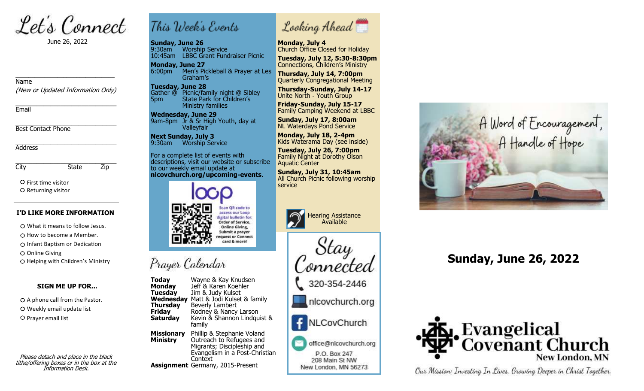Let's Connect

June 26, 2022

#### Name

(New or Updated Information Only)

\_\_\_\_\_\_\_\_\_\_\_\_\_\_\_\_\_\_\_\_\_\_\_\_\_\_\_\_\_\_\_

\_\_\_\_\_\_\_\_\_\_\_\_\_\_\_\_\_\_\_\_\_\_\_\_\_\_\_\_\_ Email

\_\_\_\_\_\_\_\_\_\_\_\_\_\_\_\_\_\_\_\_\_\_\_\_\_\_\_\_\_ Best Contact Phone

\_\_\_\_\_\_\_\_\_\_\_\_\_\_\_\_\_\_\_\_\_\_\_\_\_\_\_\_\_ Address

\_\_\_\_\_\_\_\_\_\_\_\_\_\_\_\_\_\_\_\_\_\_\_\_\_\_\_\_\_ City State Zip

O First time visitor O Returning visitor

#### **I'D LIKE MORE INFORMATION**

What it means to follow Jesus.

 $\bigcirc$  How to become a Member.

Infant Baptism or Dedication

O Online Giving

O Helping with Children's Ministry

### **SIGN ME UP FOR...**

 $O$  A phone call from the Pastor. O Weekly email update list O Prayer email list

Please detach and place in the black tithe/offering boxes or in the box at the Information Desk.

# This Week's Events

**Sunday, June 26** 9:30am Worship Service 10:45am LBBC Grant Fundraiser Picnic

**Monday, June 27** 6:00pm<sup>---</sup> Men's Pickleball & Prayer at Les Graham's

**Tuesday, June 28** Gather @ Picnic/family night @ Sibley 5pm State Park for Children's Ministry families

 **Wednesday, June 29** 9am-8pm Jr<sup>'</sup>& Sr High Youth, day at Valleyfair

**Next Sunday, July 3** 9:30am Worship Service

For a complete list of events with descriptions, visit our website or subscribe to our weekly email update at **nlcovchurch.org/upcoming-events**.



## Prayer Calendar

**Today** Wayne & Kay Knudsen<br>**Monday** Jeff & Karen Koehler **Monday** Jeff & Karen Koehler<br>**Tuesday** Jim & Judy Kulset **Jim & Judy Kulset Wednesday** Matt & Jodi Kulset & family<br>**Thursday** Beverly Lambert **Beverly Lambert Friday** Rodney & Nancy Larson<br>**Saturday** Kevin & Shannon Lindgu **Saturday** Kevin & Shannon Lindquist & family **Missionary Missionary** Phillip & Stephanie Voland<br>**Ministry** Outreach to Refugees and **Ministry** Outreach to Refugees and Migrants; Discipleship and Evangelism in a Post-Christian **Context Assignment** Germany, 2015-Present



**Monday, July 4**

Church Office Closed for Holiday **Tuesday, July 12, 5:30-8:30pm** Connections, Children's Ministry

**Thursday, July 14, 7:00pm** Quarterly Congregational Meeting

**Thursday-Sunday, July 14-17** Unite North - Youth Group

**Friday-Sunday, July 15-17** Family Camping Weekend at LBBC

**Sunday, July 17, 8:00am** NL Waterdays Pond Service

**Monday, July 18, 2-4pm** Kids Waterama Day (see inside)

**Tuesday, July 26, 7:00pm** Family Night at Dorothy Olson Aquatic Center

 **Sunday, July 31, 10:45am** All Church Picnic following worship



Stay 'onnected

320-354-2446

nlcovchurch.org

NLCovChurch

office@nlcovchurch.org P.O. Box 247 208 Main St NW New London, MN 56273



## **Sunday, June 26, 2022**



Our Mission: Investing In Lives, Growing Deeper in Christ Together.